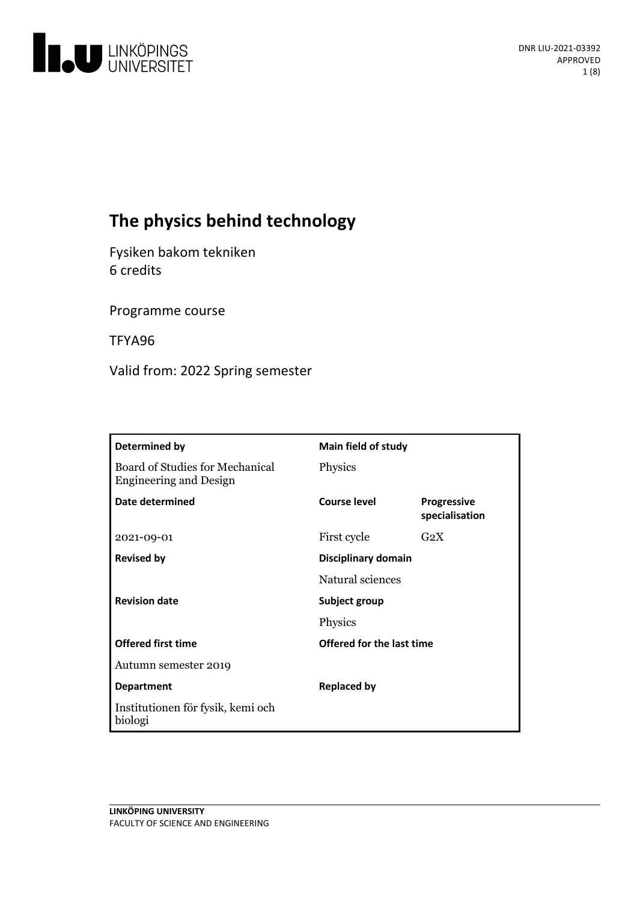

# **The physics behind technology**

Fysiken bakom tekniken 6 credits

Programme course

TFYA96

Valid from: 2022 Spring semester

| <b>Determined by</b>                                             | Main field of study       |                                      |
|------------------------------------------------------------------|---------------------------|--------------------------------------|
| Board of Studies for Mechanical<br><b>Engineering and Design</b> | Physics                   |                                      |
| Date determined                                                  | <b>Course level</b>       | <b>Progressive</b><br>specialisation |
| 2021-09-01                                                       | First cycle               | $G_2X$                               |
| <b>Revised by</b>                                                | Disciplinary domain       |                                      |
|                                                                  | Natural sciences          |                                      |
| <b>Revision date</b>                                             | Subject group             |                                      |
|                                                                  | Physics                   |                                      |
| <b>Offered first time</b>                                        | Offered for the last time |                                      |
| Autumn semester 2019                                             |                           |                                      |
| <b>Department</b>                                                | <b>Replaced by</b>        |                                      |
| Institutionen för fysik, kemi och<br>biologi                     |                           |                                      |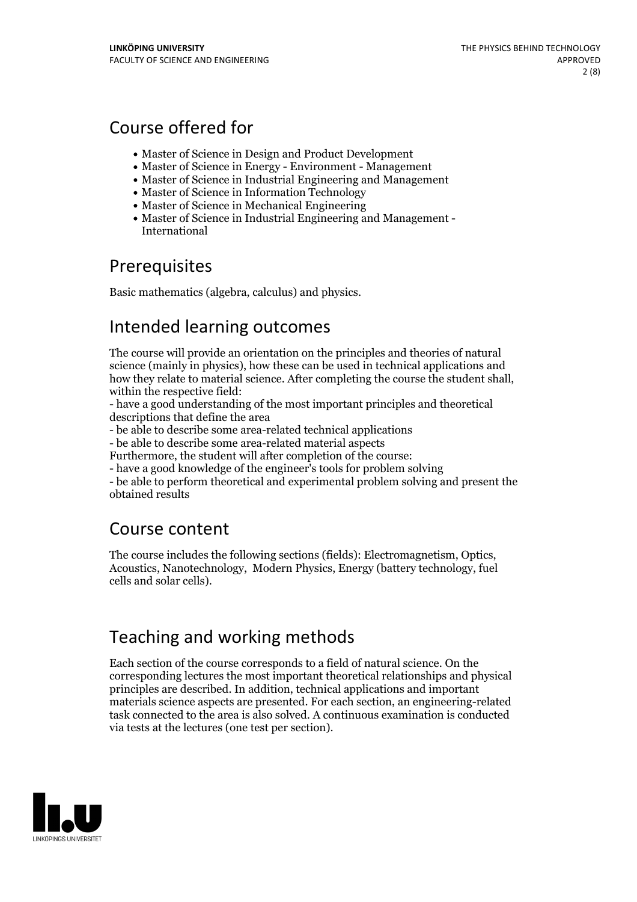## Course offered for

- Master of Science in Design and Product Development
- Master of Science in Energy Environment Management
- Master of Science in Industrial Engineering and Management
- Master of Science in Information Technology
- Master of Science in Mechanical Engineering
- Master of Science in Industrial Engineering and Management International

## Prerequisites

Basic mathematics (algebra, calculus) and physics.

## Intended learning outcomes

The course will provide an orientation on the principles and theories of natural science (mainly in physics), how these can be used in technical applications and how they relate to material science. After completing the course the student shall, within the respective field: - have <sup>a</sup> good understanding of the most important principles and theoretical

descriptions that define the area

- be able to describe some area-related technical applications

- be able to describe some area-related material aspects<br>Furthermore, the student will after completion of the course:

- have a good knowledge of the engineer's tools for problem solving

- be able to perform theoretical and experimental problem solving and present the obtained results

## Course content

The course includes the following sections (fields): Electromagnetism, Optics, Acoustics, Nanotechnology, Modern Physics, Energy (battery technology, fuel cells and solar cells).

# Teaching and working methods

Each section of the course corresponds to a field of natural science. On the corresponding lectures the most important theoretical relationships and physical principles are described. In addition, technical applications and important materials science aspects are presented. For each section, an engineering-related task connected to the area is also solved. A continuous examination is conducted via tests at the lectures (one test per section).

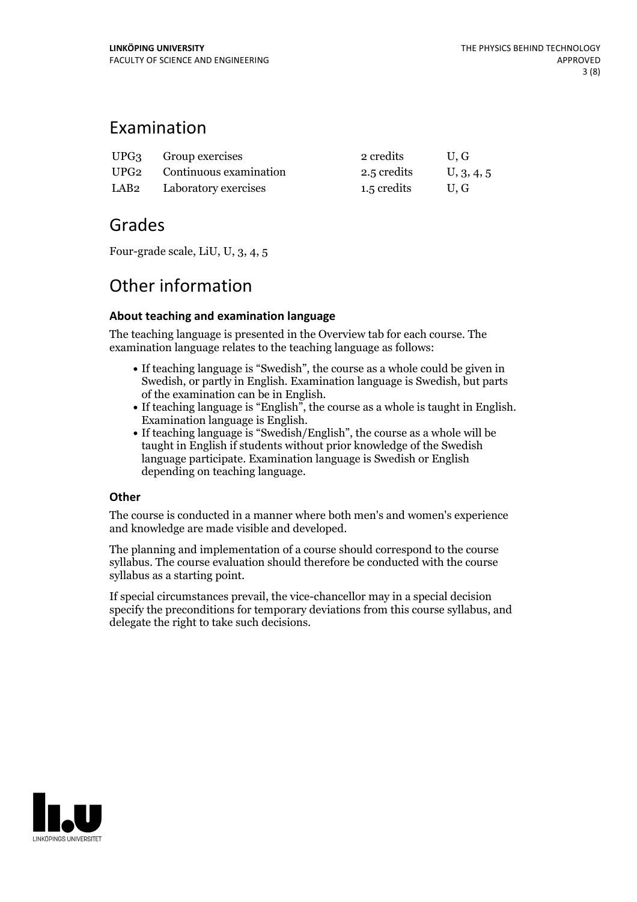## Examination

| UPG <sub>3</sub> Group exercises      | 2 credits              | U, G |
|---------------------------------------|------------------------|------|
| UPG2 Continuous examination           | 2.5 credits U, 3, 4, 5 |      |
| LAB <sub>2</sub> Laboratory exercises | 1.5 credits            | U.G  |

## Grades

Four-grade scale, LiU, U, 3, 4, 5

# Other information

## **About teaching and examination language**

The teaching language is presented in the Overview tab for each course. The examination language relates to the teaching language as follows:

- If teaching language is "Swedish", the course as a whole could be given in Swedish, or partly in English. Examination language is Swedish, but parts
- If teaching language is "English", the course as a whole is taught in English. Examination language is English. <br>• If teaching language is "Swedish/English", the course as a whole will be
- taught in English if students without prior knowledge of the Swedish language participate. Examination language is Swedish or English depending on teaching language.

## **Other**

The course is conducted in a manner where both men's and women's experience and knowledge are made visible and developed.

The planning and implementation of a course should correspond to the course syllabus. The course evaluation should therefore be conducted with the course syllabus as a starting point.

If special circumstances prevail, the vice-chancellor may in a special decision specify the preconditions for temporary deviations from this course syllabus, and delegate the right to take such decisions.

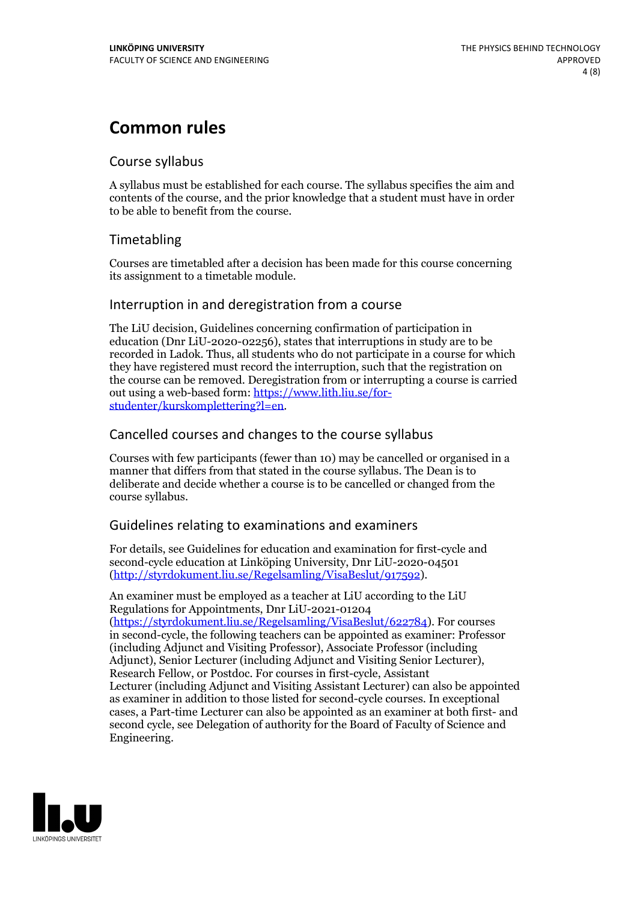## **Common rules**

### Course syllabus

A syllabus must be established for each course. The syllabus specifies the aim and contents of the course, and the prior knowledge that a student must have in order to be able to benefit from the course.

## Timetabling

Courses are timetabled after a decision has been made for this course concerning its assignment to a timetable module.

### Interruption in and deregistration from a course

The LiU decision, Guidelines concerning confirmation of participation in education (Dnr LiU-2020-02256), states that interruptions in study are to be recorded in Ladok. Thus, all students who do not participate in a course for which they have registered must record the interruption, such that the registration on the course can be removed. Deregistration from or interrupting a course is carried out using <sup>a</sup> web-based form: https://www.lith.liu.se/for- [studenter/kurskomplettering?l=en.](https://www.lith.liu.se/for-studenter/kurskomplettering?l=en)

## Cancelled courses and changes to the course syllabus

Courses with few participants (fewer than 10) may be cancelled or organised in a manner that differs from that stated in the course syllabus. The Dean is to deliberate and decide whether a course is to be cancelled or changed from the course syllabus.

## Guidelines relating to examinations and examiners

For details, see Guidelines for education and examination for first-cycle and second-cycle education at Linköping University, Dnr LiU-2020-04501 [\(http://styrdokument.liu.se/Regelsamling/VisaBeslut/917592\)](http://styrdokument.liu.se/Regelsamling/VisaBeslut/917592).

An examiner must be employed as a teacher at LiU according to the LiU Regulations for Appointments, Dnr LiU-2021-01204 [\(https://styrdokument.liu.se/Regelsamling/VisaBeslut/622784](https://styrdokument.liu.se/Regelsamling/VisaBeslut/622784)). For courses in second-cycle, the following teachers can be appointed as examiner: Professor (including Adjunct and Visiting Professor), Associate Professor (including Adjunct), Senior Lecturer (including Adjunct and Visiting Senior Lecturer), Research Fellow, or Postdoc. For courses in first-cycle, Assistant Lecturer (including Adjunct and Visiting Assistant Lecturer) can also be appointed as examiner in addition to those listed for second-cycle courses. In exceptional cases, a Part-time Lecturer can also be appointed as an examiner at both first- and second cycle, see Delegation of authority for the Board of Faculty of Science and Engineering.

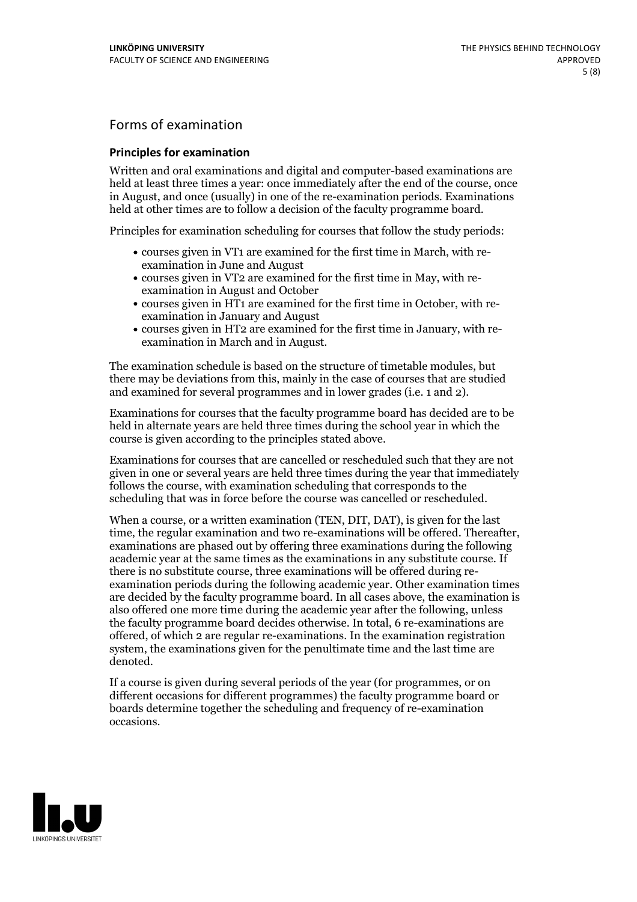## Forms of examination

#### **Principles for examination**

Written and oral examinations and digital and computer-based examinations are held at least three times a year: once immediately after the end of the course, once in August, and once (usually) in one of the re-examination periods. Examinations held at other times are to follow a decision of the faculty programme board.

Principles for examination scheduling for courses that follow the study periods:

- courses given in VT1 are examined for the first time in March, with re-examination in June and August
- courses given in VT2 are examined for the first time in May, with re-examination in August and October
- courses given in HT1 are examined for the first time in October, with re-examination in January and August
- courses given in HT2 are examined for the first time in January, with re-examination in March and in August.

The examination schedule is based on the structure of timetable modules, but there may be deviations from this, mainly in the case of courses that are studied and examined for several programmes and in lower grades (i.e. 1 and 2).

Examinations for courses that the faculty programme board has decided are to be held in alternate years are held three times during the school year in which the course is given according to the principles stated above.

Examinations for courses that are cancelled orrescheduled such that they are not given in one or several years are held three times during the year that immediately follows the course, with examination scheduling that corresponds to the scheduling that was in force before the course was cancelled or rescheduled.

When a course, or a written examination (TEN, DIT, DAT), is given for the last time, the regular examination and two re-examinations will be offered. Thereafter, examinations are phased out by offering three examinations during the following academic year at the same times as the examinations in any substitute course. If there is no substitute course, three examinations will be offered during re- examination periods during the following academic year. Other examination times are decided by the faculty programme board. In all cases above, the examination is also offered one more time during the academic year after the following, unless the faculty programme board decides otherwise. In total, 6 re-examinations are offered, of which 2 are regular re-examinations. In the examination registration system, the examinations given for the penultimate time and the last time are denoted.

If a course is given during several periods of the year (for programmes, or on different occasions for different programmes) the faculty programme board or boards determine together the scheduling and frequency of re-examination occasions.

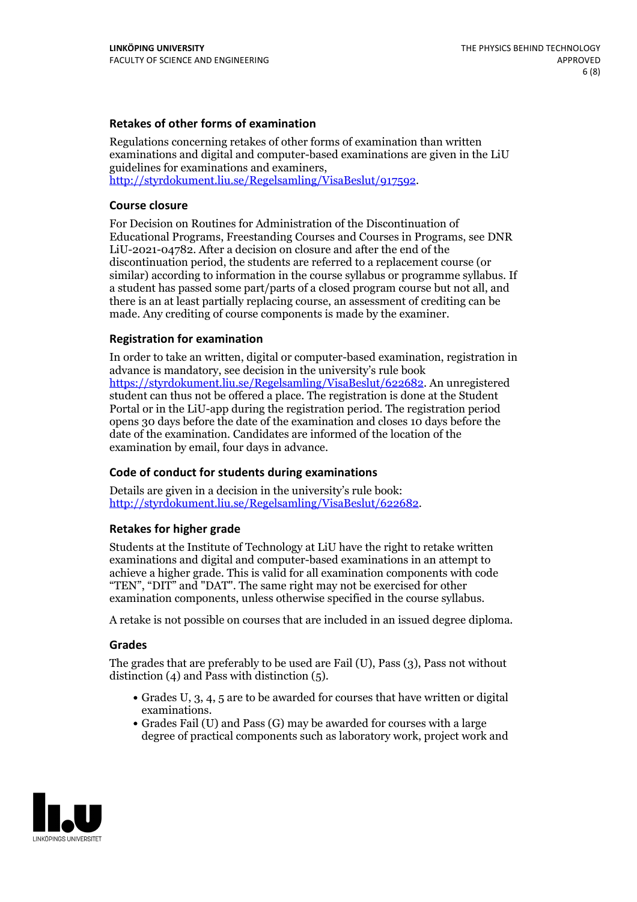#### **Retakes of other forms of examination**

Regulations concerning retakes of other forms of examination than written examinations and digital and computer-based examinations are given in the LiU guidelines for examinations and examiners, [http://styrdokument.liu.se/Regelsamling/VisaBeslut/917592.](http://styrdokument.liu.se/Regelsamling/VisaBeslut/917592)

#### **Course closure**

For Decision on Routines for Administration of the Discontinuation of Educational Programs, Freestanding Courses and Courses in Programs, see DNR LiU-2021-04782. After a decision on closure and after the end of the discontinuation period, the students are referred to a replacement course (or similar) according to information in the course syllabus or programme syllabus. If a student has passed some part/parts of a closed program course but not all, and there is an at least partially replacing course, an assessment of crediting can be made. Any crediting of course components is made by the examiner.

#### **Registration for examination**

In order to take an written, digital or computer-based examination, registration in advance is mandatory, see decision in the university's rule book [https://styrdokument.liu.se/Regelsamling/VisaBeslut/622682.](https://styrdokument.liu.se/Regelsamling/VisaBeslut/622682) An unregistered student can thus not be offered a place. The registration is done at the Student Portal or in the LiU-app during the registration period. The registration period opens 30 days before the date of the examination and closes 10 days before the date of the examination. Candidates are informed of the location of the examination by email, four days in advance.

### **Code of conduct for students during examinations**

Details are given in a decision in the university's rule book: <http://styrdokument.liu.se/Regelsamling/VisaBeslut/622682>.

#### **Retakes for higher grade**

Students at the Institute of Technology at LiU have the right to retake written examinations and digital and computer-based examinations in an attempt to achieve a higher grade. This is valid for all examination components with code "TEN", "DIT" and "DAT". The same right may not be exercised for other examination components, unless otherwise specified in the course syllabus.

A retake is not possible on courses that are included in an issued degree diploma.

#### **Grades**

The grades that are preferably to be used are Fail (U), Pass (3), Pass not without distinction  $(4)$  and Pass with distinction  $(5)$ .

- Grades U, 3, 4, 5 are to be awarded for courses that have written or digital examinations.<br>• Grades Fail (U) and Pass (G) may be awarded for courses with a large
- degree of practical components such as laboratory work, project work and

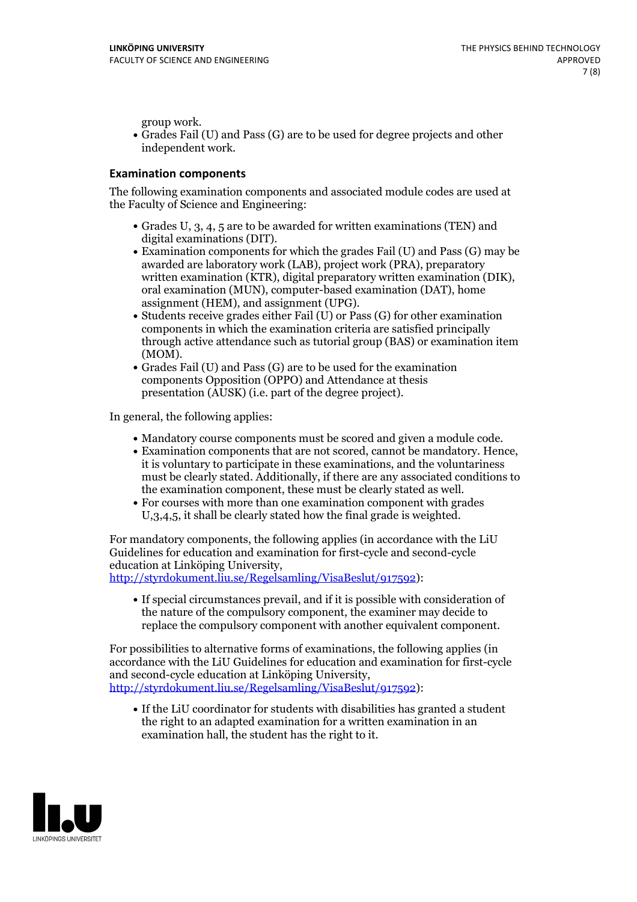group work.<br>• Grades Fail (U) and Pass (G) are to be used for degree projects and other independent work.

#### **Examination components**

The following examination components and associated module codes are used at the Faculty of Science and Engineering:

- Grades U, 3, 4, 5 are to be awarded for written examinations (TEN) and
- digital examinations (DIT).<br>• Examination components for which the grades Fail (U) and Pass (G) may be awarded are laboratory work (LAB), project work (PRA), preparatory written examination (KTR), digital preparatory written examination (DIK), oral examination (MUN), computer-based examination (DAT), home
- assignment (HEM), and assignment (UPG).<br>• Students receive grades either Fail (U) or Pass (G) for other examination components in which the examination criteria are satisfied principally through active attendance such as tutorial group (BAS) or examination item
- (MOM).<br>• Grades Fail (U) and Pass (G) are to be used for the examination components Opposition (OPPO) and Attendance at thesis presentation (AUSK) (i.e. part of the degree project).

In general, the following applies:

- 
- Mandatory course components must be scored and given <sup>a</sup> module code. Examination components that are not scored, cannot be mandatory. Hence, it is voluntary to participate in these examinations, and the voluntariness must be clearly stated. Additionally, if there are any associated conditions to
- the examination component, these must be clearly stated as well.<br>• For courses with more than one examination component with grades U,3,4,5, it shall be clearly stated how the final grade is weighted.

For mandatory components, the following applies (in accordance with the LiU Guidelines for education and examination for first-cycle and second-cycle education at Linköping University,<br>[http://styrdokument.liu.se/Regelsamling/VisaBeslut/917592\)](http://styrdokument.liu.se/Regelsamling/VisaBeslut/917592):

If special circumstances prevail, and if it is possible with consideration of the nature of the compulsory component, the examiner may decide to replace the compulsory component with another equivalent component.

For possibilities to alternative forms of examinations, the following applies (in accordance with the LiU Guidelines for education and examination for first-cycle [http://styrdokument.liu.se/Regelsamling/VisaBeslut/917592\)](http://styrdokument.liu.se/Regelsamling/VisaBeslut/917592):

If the LiU coordinator for students with disabilities has granted a student the right to an adapted examination for a written examination in an examination hall, the student has the right to it.